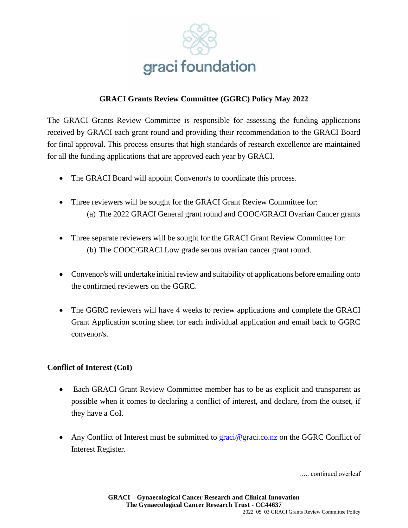

## **GRACI Grants Review Committee (GGRC) Policy May 2022**

The GRACI Grants Review Committee is responsible for assessing the funding applications received by GRACI each grant round and providing their recommendation to the GRACI Board for final approval. This process ensures that high standards of research excellence are maintained for all the funding applications that are approved each year by GRACI.

- The GRACI Board will appoint Convenor/s to coordinate this process.
- Three reviewers will be sought for the GRACI Grant Review Committee for: (a) The 2022 GRACI General grant round and COOC/GRACI Ovarian Cancer grants
- Three separate reviewers will be sought for the GRACI Grant Review Committee for: (b) The COOC/GRACI Low grade serous ovarian cancer grant round.
- Convenor/s will undertake initial review and suitability of applications before emailing onto the confirmed reviewers on the GGRC.
- The GGRC reviewers will have 4 weeks to review applications and complete the GRACI Grant Application scoring sheet for each individual application and email back to GGRC convenor/s.

## **Conflict of Interest (CoI)**

- Each GRACI Grant Review Committee member has to be as explicit and transparent as possible when it comes to declaring a conflict of interest, and declare, from the outset, if they have a CoI.
- Any Conflict of Interest must be submitted to [graci@graci.co.nz](mailto:graci@graci.co.nz) on the GGRC Conflict of Interest Register.

….. continued overleaf